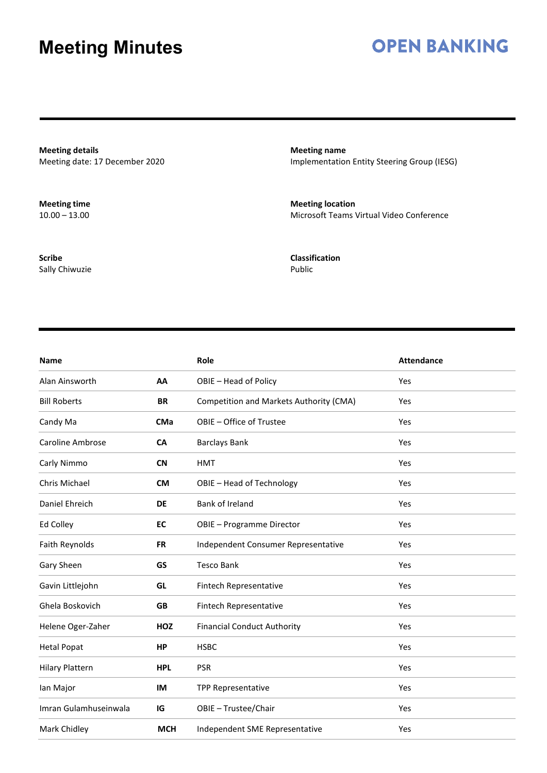## **OPEN BANKING**

**Meeting details** Meeting date: 17 December 2020

**Meeting time**  $10.00 - 13.00$ 

**Scribe** Sally Chiwuzie **Meeting name** Implementation Entity Steering Group (IESG)

**Meeting location** Microsoft Teams Virtual Video Conference

**Classification** Public

| Name                   |            | Role                                    | <b>Attendance</b> |
|------------------------|------------|-----------------------------------------|-------------------|
| Alan Ainsworth         | AA         | OBIE - Head of Policy                   | Yes               |
| <b>Bill Roberts</b>    | <b>BR</b>  | Competition and Markets Authority (CMA) | Yes               |
| Candy Ma               | <b>CMa</b> | OBIE - Office of Trustee                | Yes               |
| Caroline Ambrose       | <b>CA</b>  | <b>Barclays Bank</b>                    | Yes               |
| Carly Nimmo            | <b>CN</b>  | <b>HMT</b>                              | Yes               |
| Chris Michael          | <b>CM</b>  | OBIE - Head of Technology               | Yes               |
| Daniel Ehreich         | <b>DE</b>  | Bank of Ireland                         | Yes               |
| Ed Colley              | <b>EC</b>  | OBIE - Programme Director               | Yes               |
| Faith Reynolds         | <b>FR</b>  | Independent Consumer Representative     | Yes               |
| Gary Sheen             | GS         | <b>Tesco Bank</b>                       | Yes               |
| Gavin Littlejohn       | GL         | Fintech Representative                  | Yes               |
| Ghela Boskovich        | <b>GB</b>  | Fintech Representative                  | Yes               |
| Helene Oger-Zaher      | HOZ        | <b>Financial Conduct Authority</b>      | Yes               |
| <b>Hetal Popat</b>     | <b>HP</b>  | <b>HSBC</b>                             | Yes               |
| <b>Hilary Plattern</b> | <b>HPL</b> | <b>PSR</b>                              | Yes               |
| lan Major              | IM         | TPP Representative                      | Yes               |
| Imran Gulamhuseinwala  | IG         | OBIE - Trustee/Chair                    | Yes               |
| Mark Chidley           | <b>MCH</b> | Independent SME Representative          | Yes               |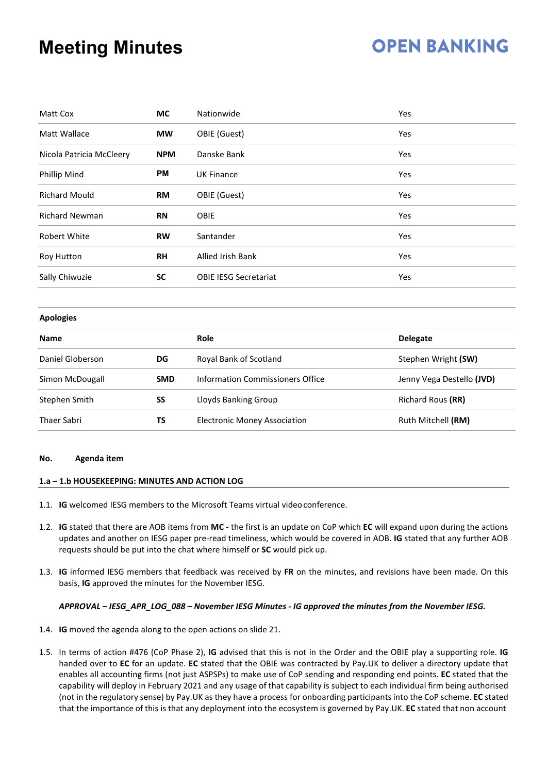## **OPEN BANKING**

| Matt Cox                 | <b>MC</b>  | Nationwide                   | <b>Yes</b> |
|--------------------------|------------|------------------------------|------------|
| Matt Wallace             | <b>MW</b>  | OBIE (Guest)                 | Yes        |
| Nicola Patricia McCleery | <b>NPM</b> | Danske Bank                  | Yes        |
| Phillip Mind             | <b>PM</b>  | <b>UK Finance</b>            | <b>Yes</b> |
| <b>Richard Mould</b>     | <b>RM</b>  | OBIE (Guest)                 | Yes        |
| <b>Richard Newman</b>    | <b>RN</b>  | <b>OBIE</b>                  | Yes        |
| <b>Robert White</b>      | <b>RW</b>  | Santander                    | Yes        |
| Roy Hutton               | <b>RH</b>  | <b>Allied Irish Bank</b>     | Yes        |
| Sally Chiwuzie           | <b>SC</b>  | <b>OBIE IESG Secretariat</b> | Yes        |

#### **Apologies**

| <b>Name</b>      |            | Role                                | <b>Delegate</b>           |
|------------------|------------|-------------------------------------|---------------------------|
| Daniel Globerson | DG         | Royal Bank of Scotland              | Stephen Wright (SW)       |
| Simon McDougall  | <b>SMD</b> | Information Commissioners Office    | Jenny Vega Destello (JVD) |
| Stephen Smith    | SS         | Lloyds Banking Group                | Richard Rous (RR)         |
| Thaer Sabri      | TS         | <b>Electronic Money Association</b> | Ruth Mitchell (RM)        |

#### **No. Agenda item**

#### **1.a – 1.b HOUSEKEEPING: MINUTES AND ACTION LOG**

- 1.1. **IG** welcomed IESG members to the Microsoft Teams virtual videoconference.
- 1.2. **IG** stated that there are AOB items from **MC -** the first is an update on CoP which **EC** will expand upon during the actions updates and another on IESG paper pre-read timeliness, which would be covered in AOB. **IG** stated that any further AOB requests should be put into the chat where himself or **SC** would pick up.
- 1.3. **IG** informed IESG members that feedback was received by **FR** on the minutes, and revisions have been made. On this basis, **IG** approved the minutes for the November IESG.

#### *APPROVAL – IESG\_APR\_LOG\_088 – November IESG Minutes - IG approved the minutes from the November IESG.*

- 1.4. **IG** moved the agenda along to the open actions on slide 21.
- 1.5. In terms of action #476 (CoP Phase 2), **IG** advised that this is not in the Order and the OBIE play a supporting role. **IG**  handed over to **EC** for an update. **EC** stated that the OBIE was contracted by Pay.UK to deliver a directory update that enables all accounting firms (not just ASPSPs) to make use of CoP sending and responding end points. **EC** stated that the capability will deploy in February 2021 and any usage of that capability is subject to each individual firm being authorised (not in the regulatory sense) by Pay.UK as they have a process for onboarding participantsinto the CoP scheme. **EC** stated that the importance of this is that any deployment into the ecosystem is governed by Pay.UK. **EC** stated that non account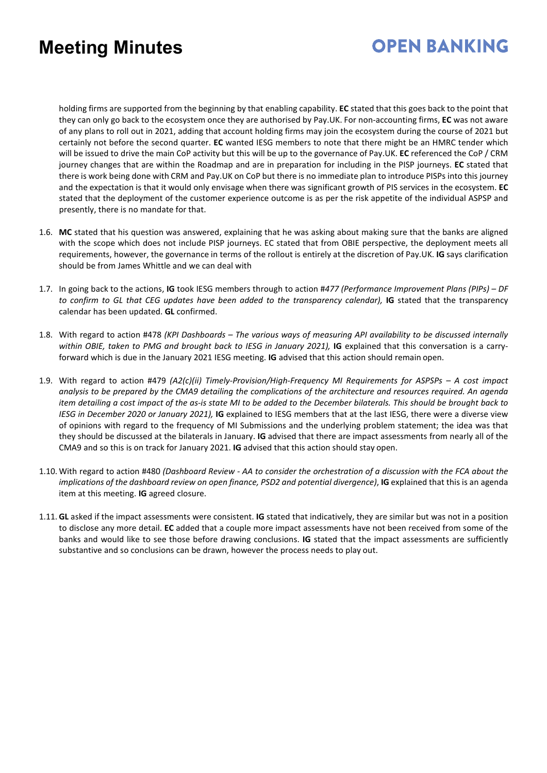## **OPEN BANKING**

holding firms are supported from the beginning by that enabling capability. **EC** stated that this goes back to the point that they can only go back to the ecosystem once they are authorised by Pay.UK. For non-accounting firms, **EC** was not aware of any plans to roll out in 2021, adding that account holding firms may join the ecosystem during the course of 2021 but certainly not before the second quarter. **EC** wanted IESG members to note that there might be an HMRC tender which will be issued to drive the main CoP activity but this will be up to the governance of Pay.UK. **EC** referenced the CoP / CRM journey changes that are within the Roadmap and are in preparation for including in the PISP journeys. **EC** stated that there is work being done with CRM and Pay.UK on CoP but there is no immediate plan to introduce PISPs into this journey and the expectation is that it would only envisage when there was significant growth of PIS services in the ecosystem. **EC**  stated that the deployment of the customer experience outcome is as per the risk appetite of the individual ASPSP and presently, there is no mandate for that.

- 1.6. **MC** stated that his question was answered, explaining that he was asking about making sure that the banks are aligned with the scope which does not include PISP journeys. EC stated that from OBIE perspective, the deployment meets all requirements, however, the governance in terms of the rollout is entirely at the discretion of Pay.UK. **IG** says clarification should be from James Whittle and we can deal with
- 1.7. In going back to the actions, **IG** took IESG members through to action #*477 (Performance Improvement Plans (PIPs) – DF*  to confirm to GL that CEG updates have been added to the transparency calendar), **IG** stated that the transparency calendar has been updated. **GL** confirmed.
- 1.8. With regard to action #478 *(KPI Dashboards – The various ways of measuring API availability to be discussed internally*  within OBIE, taken to PMG and brought back to IESG in January 2021), **IG** explained that this conversation is a carryforward which is due in the January 2021 IESG meeting. **IG** advised that this action should remain open.
- 1.9. With regard to action #479 *(A2(c)(ii) Timely-Provision/High-Frequency MI Requirements for ASPSPs – A cost impact analysis to be prepared by the CMA9 detailing the complications of the architecture and resources required. An agenda item detailing a cost impact of the as-is state MI to be added to the December bilaterals. This should be brought back to IESG in December 2020 or January 2021),* **IG** explained to IESG members that at the last IESG, there were a diverse view of opinions with regard to the frequency of MI Submissions and the underlying problem statement; the idea was that they should be discussed at the bilaterals in January. **IG** advised that there are impact assessments from nearly all of the CMA9 and so this is on track for January 2021. **IG** advised that this action should stay open.
- 1.10. With regard to action #480 *(Dashboard Review - AA to consider the orchestration of a discussion with the FCA about the implications of the dashboard review on open finance, PSD2 and potential divergence)*, **IG** explained that this is an agenda item at this meeting. **IG** agreed closure.
- 1.11. **GL** asked if the impact assessments were consistent. **IG** stated that indicatively, they are similar but was not in a position to disclose any more detail. **EC** added that a couple more impact assessments have not been received from some of the banks and would like to see those before drawing conclusions. **IG** stated that the impact assessments are sufficiently substantive and so conclusions can be drawn, however the process needs to play out.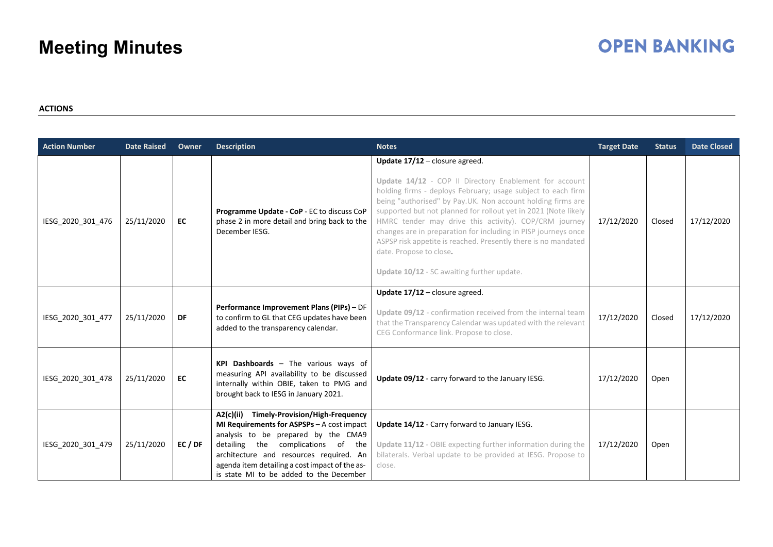## **OPEN BANKING**

#### **ACTIONS**

| <b>Action Number</b> | <b>Date Raised</b> | Owner | <b>Description</b>                                                                                                                                                                                                                                                                                                     | <b>Notes</b>                                                                                                                                                                                                                                                                                                                                                                                                                                                                                                                                                    | <b>Target Date</b> | <b>Status</b> | <b>Date Closed</b> |
|----------------------|--------------------|-------|------------------------------------------------------------------------------------------------------------------------------------------------------------------------------------------------------------------------------------------------------------------------------------------------------------------------|-----------------------------------------------------------------------------------------------------------------------------------------------------------------------------------------------------------------------------------------------------------------------------------------------------------------------------------------------------------------------------------------------------------------------------------------------------------------------------------------------------------------------------------------------------------------|--------------------|---------------|--------------------|
| IESG_2020_301_476    | 25/11/2020         | EC    | Programme Update - CoP - EC to discuss CoP<br>phase 2 in more detail and bring back to the<br>December IESG.                                                                                                                                                                                                           | Update 17/12 - closure agreed.<br>Update 14/12 - COP II Directory Enablement for account<br>holding firms - deploys February; usage subject to each firm<br>being "authorised" by Pay.UK. Non account holding firms are<br>supported but not planned for rollout yet in 2021 (Note likely<br>HMRC tender may drive this activity). COP/CRM journey<br>changes are in preparation for including in PISP journeys once<br>ASPSP risk appetite is reached. Presently there is no mandated<br>date. Propose to close.<br>Update 10/12 - SC awaiting further update. | 17/12/2020         | Closed        | 17/12/2020         |
| IESG_2020_301_477    | 25/11/2020         | DF    | Performance Improvement Plans (PIPs) - DF<br>to confirm to GL that CEG updates have been<br>added to the transparency calendar.                                                                                                                                                                                        | Update 17/12 - closure agreed.<br>Update 09/12 - confirmation received from the internal team<br>that the Transparency Calendar was updated with the relevant<br>CEG Conformance link. Propose to close.                                                                                                                                                                                                                                                                                                                                                        | 17/12/2020         | Closed        | 17/12/2020         |
| IESG_2020_301_478    | 25/11/2020         | EC    | KPI Dashboards - The various ways of<br>measuring API availability to be discussed<br>internally within OBIE, taken to PMG and<br>brought back to IESG in January 2021.                                                                                                                                                | Update 09/12 - carry forward to the January IESG.                                                                                                                                                                                                                                                                                                                                                                                                                                                                                                               | 17/12/2020         | Open          |                    |
| IESG_2020_301_479    | 25/11/2020         | EC/DF | <b>Timely-Provision/High-Frequency</b><br>A2(c)(ii)<br>MI Requirements for ASPSPs - A cost impact<br>analysis to be prepared by the CMA9<br>detailing the complications of the<br>architecture and resources required. An<br>agenda item detailing a cost impact of the as-<br>is state MI to be added to the December | Update 14/12 - Carry forward to January IESG.<br>Update 11/12 - OBIE expecting further information during the<br>bilaterals. Verbal update to be provided at IESG. Propose to<br>close.                                                                                                                                                                                                                                                                                                                                                                         | 17/12/2020         | Open          |                    |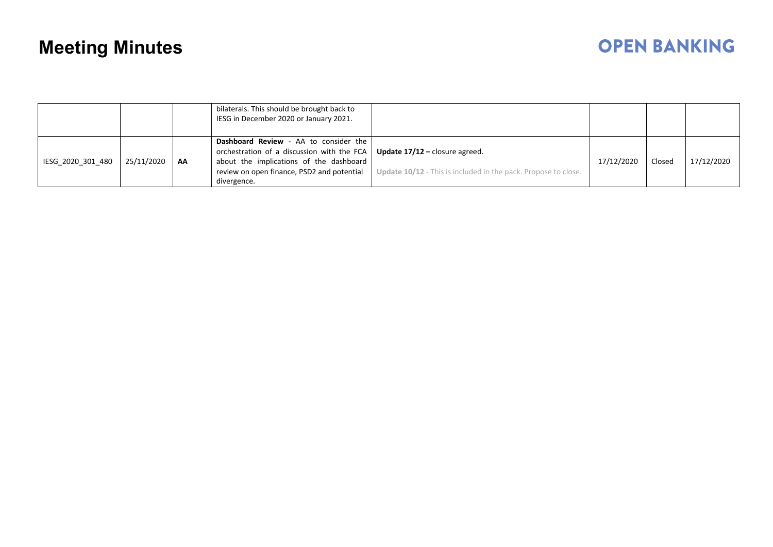|                   |            |    | bilaterals. This should be brought back to<br>IESG in December 2020 or January 2021.                                                                                                        |                                                                                                         |            |        |            |
|-------------------|------------|----|---------------------------------------------------------------------------------------------------------------------------------------------------------------------------------------------|---------------------------------------------------------------------------------------------------------|------------|--------|------------|
| IESG 2020 301 480 | 25/11/2020 | AA | Dashboard Review - AA to consider the<br>orchestration of a discussion with the FCA<br>about the implications of the dashboard<br>review on open finance, PSD2 and potential<br>divergence. | <b>Update 17/12 – closure agreed.</b><br>Update 10/12 - This is included in the pack. Propose to close. | 17/12/2020 | Closed | 17/12/2020 |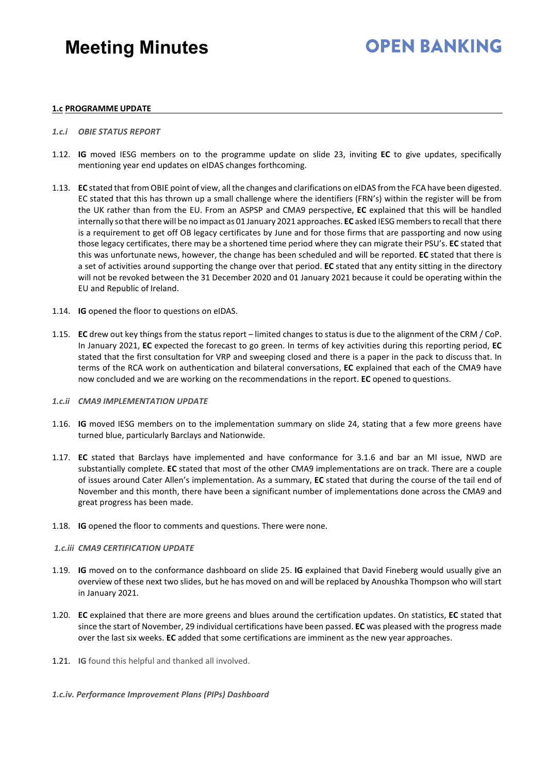## **OPEN BANKING**

#### **1.c PROGRAMME UPDATE**

- *1.c.i OBIE STATUS REPORT*
- 1.12. **IG** moved IESG members on to the programme update on slide 23, inviting **EC** to give updates, specifically mentioning year end updates on eIDAS changes forthcoming.
- 1.13. **EC** stated that from OBIE point of view, all the changes and clarifications on eIDAS from the FCA have been digested. EC stated that this has thrown up a small challenge where the identifiers (FRN's) within the register will be from the UK rather than from the EU. From an ASPSP and CMA9 perspective, **EC** explained that this will be handled internally so that there will be no impact as 01 January 2021 approaches. **EC** asked IESG members to recall that there is a requirement to get off OB legacy certificates by June and for those firms that are passporting and now using those legacy certificates, there may be a shortened time period where they can migrate their PSU's. **EC** stated that this was unfortunate news, however, the change has been scheduled and will be reported. **EC** stated that there is a set of activities around supporting the change over that period. **EC** stated that any entity sitting in the directory will not be revoked between the 31 December 2020 and 01 January 2021 because it could be operating within the EU and Republic of Ireland.
- 1.14. **IG** opened the floor to questions on eIDAS.
- 1.15. **EC** drew out key things from the status report limited changes to status is due to the alignment of the CRM / CoP. In January 2021, **EC** expected the forecast to go green. In terms of key activities during this reporting period, **EC**  stated that the first consultation for VRP and sweeping closed and there is a paper in the pack to discuss that. In terms of the RCA work on authentication and bilateral conversations, **EC** explained that each of the CMA9 have now concluded and we are working on the recommendations in the report. **EC** opened to questions.

#### *1.c.ii CMA9 IMPLEMENTATION UPDATE*

- 1.16. **IG** moved IESG members on to the implementation summary on slide 24, stating that a few more greens have turned blue, particularly Barclays and Nationwide.
- 1.17. **EC** stated that Barclays have implemented and have conformance for 3.1.6 and bar an MI issue, NWD are substantially complete. **EC** stated that most of the other CMA9 implementations are on track. There are a couple of issues around Cater Allen's implementation. As a summary, **EC** stated that during the course of the tail end of November and this month, there have been a significant number of implementations done across the CMA9 and great progress has been made.
- 1.18. **IG** opened the floor to comments and questions. There were none.

#### *1.c.iii CMA9 CERTIFICATION UPDATE*

- 1.19. **IG** moved on to the conformance dashboard on slide 25. **IG** explained that David Fineberg would usually give an overview of these next two slides, but he has moved on and will be replaced by Anoushka Thompson who willstart in January 2021.
- 1.20. **EC** explained that there are more greens and blues around the certification updates. On statistics, **EC** stated that since the start of November, 29 individual certifications have been passed. **EC** was pleased with the progress made over the last six weeks. **EC** added that some certifications are imminent as the new year approaches.
- 1.21. **IG** found this helpful and thanked all involved.

#### *1.c.iv. Performance Improvement Plans (PIPs) Dashboard*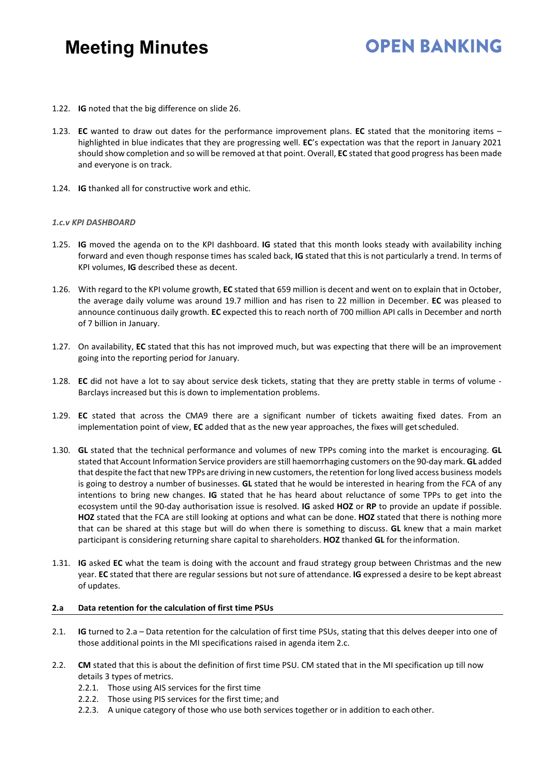## **OPEN BANKING**

- 1.22. **IG** noted that the big difference on slide 26.
- 1.23. **EC** wanted to draw out dates for the performance improvement plans. **EC** stated that the monitoring items highlighted in blue indicates that they are progressing well. **EC**'s expectation was that the report in January 2021 should show completion and so will be removed at that point. Overall, **EC** stated that good progress has been made and everyone is on track.
- 1.24. **IG** thanked all for constructive work and ethic.

#### *1.c.v KPI DASHBOARD*

- 1.25. **IG** moved the agenda on to the KPI dashboard. **IG** stated that this month looks steady with availability inching forward and even though response times has scaled back, **IG** stated that this is not particularly a trend. In terms of KPI volumes, **IG** described these as decent.
- 1.26. With regard to the KPI volume growth, **EC** stated that 659 million is decent and went on to explain that in October, the average daily volume was around 19.7 million and has risen to 22 million in December. **EC** was pleased to announce continuous daily growth. **EC** expected this to reach north of 700 million API calls in December and north of 7 billion in January.
- 1.27. On availability, **EC** stated that this has not improved much, but was expecting that there will be an improvement going into the reporting period for January.
- 1.28. **EC** did not have a lot to say about service desk tickets, stating that they are pretty stable in terms of volume Barclays increased but this is down to implementation problems.
- 1.29. **EC** stated that across the CMA9 there are a significant number of tickets awaiting fixed dates. From an implementation point of view, **EC** added that as the new year approaches, the fixes will getscheduled.
- 1.30. **GL** stated that the technical performance and volumes of new TPPs coming into the market is encouraging. **GL**  stated that Account Information Service providers are still haemorrhaging customers on the 90-day mark. **GL** added that despite the fact that new TPPs are driving in new customers, the retention for long lived access business models is going to destroy a number of businesses. **GL** stated that he would be interested in hearing from the FCA of any intentions to bring new changes. **IG** stated that he has heard about reluctance of some TPPs to get into the ecosystem until the 90-day authorisation issue is resolved. **IG** asked **HOZ** or **RP** to provide an update if possible. **HOZ** stated that the FCA are still looking at options and what can be done. **HOZ** stated that there is nothing more that can be shared at this stage but will do when there is something to discuss. **GL** knew that a main market participant is considering returning share capital to shareholders. **HOZ** thanked **GL** for the information.
- 1.31. **IG** asked **EC** what the team is doing with the account and fraud strategy group between Christmas and the new year. **EC** stated that there are regular sessions but notsure of attendance. **IG** expressed a desire to be kept abreast of updates.

#### **2.a Data retention for the calculation of first time PSUs**

- 2.1. **IG** turned to 2.a Data retention for the calculation of first time PSUs, stating that this delves deeper into one of those additional points in the MI specifications raised in agenda item 2.c.
- 2.2. **CM** stated that this is about the definition of first time PSU. CM stated that in the MI specification up till now details 3 types of metrics.
	- 2.2.1. Those using AIS services for the first time
	- 2.2.2. Those using PIS services for the first time; and
	- 2.2.3. A unique category of those who use both services together or in addition to each other.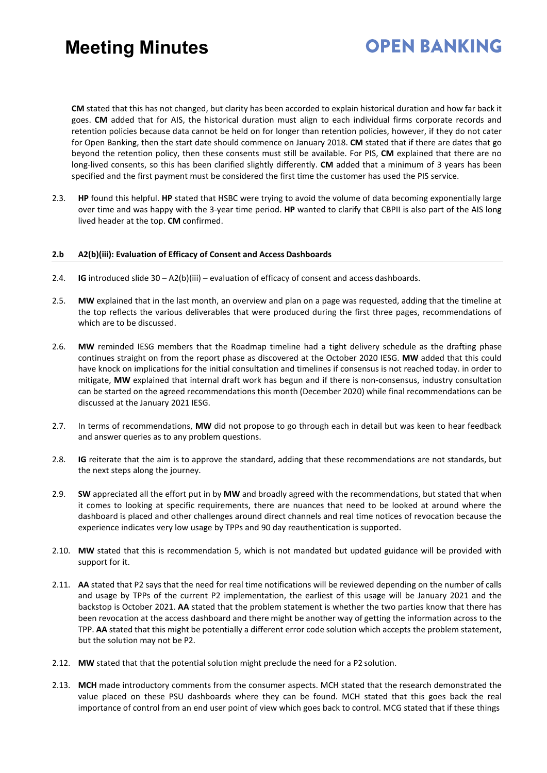**CM** stated that this has not changed, but clarity has been accorded to explain historical duration and how far back it goes. **CM** added that for AIS, the historical duration must align to each individual firms corporate records and retention policies because data cannot be held on for longer than retention policies, however, if they do not cater for Open Banking, then the start date should commence on January 2018. **CM** stated that if there are dates that go beyond the retention policy, then these consents must still be available. For PIS, **CM** explained that there are no long-lived consents, so this has been clarified slightly differently. **CM** added that a minimum of 3 years has been specified and the first payment must be considered the first time the customer has used the PIS service.

**OPEN BANKING** 

2.3. **HP** found this helpful. **HP** stated that HSBC were trying to avoid the volume of data becoming exponentially large over time and was happy with the 3-year time period. **HP** wanted to clarify that CBPII is also part of the AIS long lived header at the top. **CM** confirmed.

#### **2.b A2(b)(iii): Evaluation of Efficacy of Consent and Access Dashboards**

- 2.4. **IG** introduced slide 30 A2(b)(iii) evaluation of efficacy of consent and access dashboards.
- 2.5. **MW** explained that in the last month, an overview and plan on a page was requested, adding that the timeline at the top reflects the various deliverables that were produced during the first three pages, recommendations of which are to be discussed.
- 2.6. **MW** reminded IESG members that the Roadmap timeline had a tight delivery schedule as the drafting phase continues straight on from the report phase as discovered at the October 2020 IESG. **MW** added that this could have knock on implications for the initial consultation and timelines if consensus is not reached today. in order to mitigate, **MW** explained that internal draft work has begun and if there is non-consensus, industry consultation can be started on the agreed recommendations this month (December 2020) while final recommendations can be discussed at the January 2021 IESG.
- 2.7. In terms of recommendations, **MW** did not propose to go through each in detail but was keen to hear feedback and answer queries as to any problem questions.
- 2.8. **IG** reiterate that the aim is to approve the standard, adding that these recommendations are not standards, but the next steps along the journey.
- 2.9. **SW** appreciated all the effort put in by **MW** and broadly agreed with the recommendations, but stated that when it comes to looking at specific requirements, there are nuances that need to be looked at around where the dashboard is placed and other challenges around direct channels and real time notices of revocation because the experience indicates very low usage by TPPs and 90 day reauthentication is supported.
- 2.10. **MW** stated that this is recommendation 5, which is not mandated but updated guidance will be provided with support for it.
- 2.11. **AA** stated that P2 says that the need for real time notifications will be reviewed depending on the number of calls and usage by TPPs of the current P2 implementation, the earliest of this usage will be January 2021 and the backstop is October 2021. **AA** stated that the problem statement is whether the two parties know that there has been revocation at the access dashboard and there might be another way of getting the information across to the TPP. **AA** stated that this might be potentially a different error code solution which accepts the problem statement, but the solution may not be P2.
- 2.12. **MW** stated that that the potential solution might preclude the need for a P2 solution.
- 2.13. **MCH** made introductory comments from the consumer aspects. MCH stated that the research demonstrated the value placed on these PSU dashboards where they can be found. MCH stated that this goes back the real importance of control from an end user point of view which goes back to control. MCG stated that if these things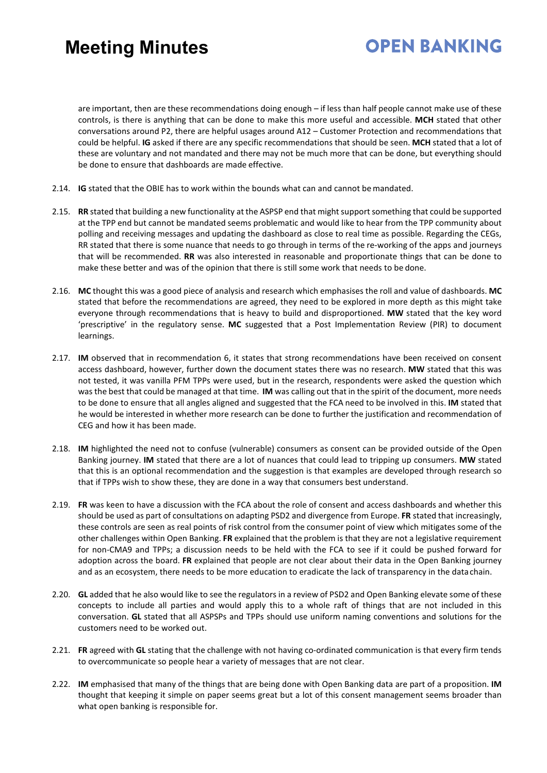## **OPEN BANKING**

are important, then are these recommendations doing enough – if less than half people cannot make use of these controls, is there is anything that can be done to make this more useful and accessible. **MCH** stated that other conversations around P2, there are helpful usages around A12 – Customer Protection and recommendations that could be helpful. **IG** asked if there are any specific recommendations that should be seen. **MCH** stated that a lot of these are voluntary and not mandated and there may not be much more that can be done, but everything should be done to ensure that dashboards are made effective.

- 2.14. **IG** stated that the OBIE has to work within the bounds what can and cannot bemandated.
- 2.15. **RR** stated that building a new functionality at the ASPSP end that mightsupportsomething that could be supported at the TPP end but cannot be mandated seems problematic and would like to hear from the TPP community about polling and receiving messages and updating the dashboard as close to real time as possible. Regarding the CEGs, RR stated that there is some nuance that needs to go through in terms of the re-working of the apps and journeys that will be recommended. **RR** was also interested in reasonable and proportionate things that can be done to make these better and was of the opinion that there is still some work that needs to be done.
- 2.16. **MC** thought this was a good piece of analysis and research which emphasises the roll and value of dashboards. **MC**  stated that before the recommendations are agreed, they need to be explored in more depth as this might take everyone through recommendations that is heavy to build and disproportioned. **MW** stated that the key word 'prescriptive' in the regulatory sense. **MC** suggested that a Post Implementation Review (PIR) to document learnings.
- 2.17. **IM** observed that in recommendation 6, it states that strong recommendations have been received on consent access dashboard, however, further down the document states there was no research. **MW** stated that this was not tested, it was vanilla PFM TPPs were used, but in the research, respondents were asked the question which was the best that could be managed at that time. **IM** was calling out that in the spirit of the document, more needs to be done to ensure that all angles aligned and suggested that the FCA need to be involved in this. **IM** stated that he would be interested in whether more research can be done to further the justification and recommendation of CEG and how it has been made.
- 2.18. **IM** highlighted the need not to confuse (vulnerable) consumers as consent can be provided outside of the Open Banking journey. **IM** stated that there are a lot of nuances that could lead to tripping up consumers. **MW** stated that this is an optional recommendation and the suggestion is that examples are developed through research so that if TPPs wish to show these, they are done in a way that consumers best understand.
- 2.19. **FR** was keen to have a discussion with the FCA about the role of consent and access dashboards and whether this should be used as part of consultations on adapting PSD2 and divergence from Europe. **FR** stated that increasingly, these controls are seen as real points of risk control from the consumer point of view which mitigates some of the other challenges within Open Banking. **FR** explained that the problem is that they are not a legislative requirement for non-CMA9 and TPPs; a discussion needs to be held with the FCA to see if it could be pushed forward for adoption across the board. **FR** explained that people are not clear about their data in the Open Banking journey and as an ecosystem, there needs to be more education to eradicate the lack of transparency in the datachain.
- 2.20. **GL** added that he also would like to see the regulators in a review of PSD2 and Open Banking elevate some of these concepts to include all parties and would apply this to a whole raft of things that are not included in this conversation. **GL** stated that all ASPSPs and TPPs should use uniform naming conventions and solutions for the customers need to be worked out.
- 2.21. **FR** agreed with **GL** stating that the challenge with not having co-ordinated communication is that every firm tends to overcommunicate so people hear a variety of messages that are not clear.
- 2.22. **IM** emphasised that many of the things that are being done with Open Banking data are part of a proposition. **IM**  thought that keeping it simple on paper seems great but a lot of this consent management seems broader than what open banking is responsible for.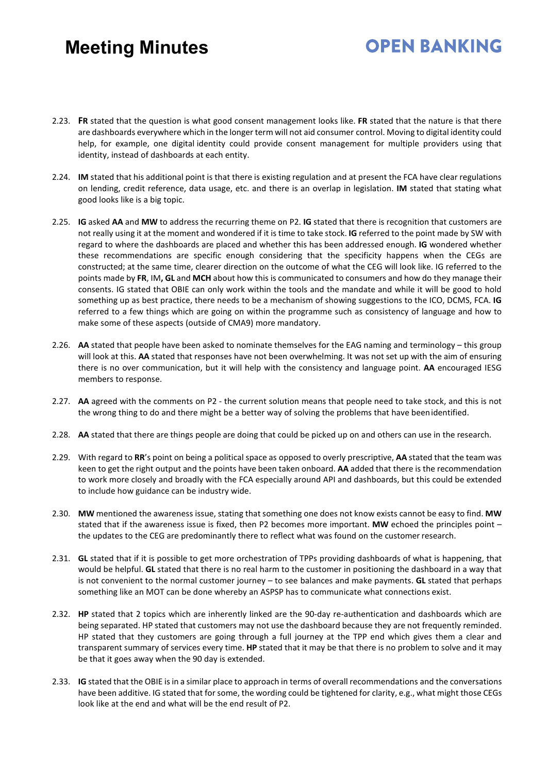- 2.23. **FR** stated that the question is what good consent management looks like. **FR** stated that the nature is that there are dashboards everywhere which in the longer term will not aid consumer control. Moving to digital identity could help, for example, one digital identity could provide consent management for multiple providers using that identity, instead of dashboards at each entity.
- 2.24. **IM** stated that his additional point is that there is existing regulation and at present the FCA have clear regulations on lending, credit reference, data usage, etc. and there is an overlap in legislation. **IM** stated that stating what good looks like is a big topic.
- 2.25. **IG** asked **AA** and **MW** to address the recurring theme on P2. **IG** stated that there is recognition that customers are not really using it at the moment and wondered if it is time to take stock. **IG** referred to the point made by SW with regard to where the dashboards are placed and whether this has been addressed enough. **IG** wondered whether these recommendations are specific enough considering that the specificity happens when the CEGs are constructed; at the same time, clearer direction on the outcome of what the CEG will look like. IG referred to the points made by **FR**, IM**, GL** and **MCH** about how this is communicated to consumers and how do they manage their consents. IG stated that OBIE can only work within the tools and the mandate and while it will be good to hold something up as best practice, there needs to be a mechanism of showing suggestions to the ICO, DCMS, FCA. **IG**  referred to a few things which are going on within the programme such as consistency of language and how to make some of these aspects (outside of CMA9) more mandatory.
- 2.26. **AA** stated that people have been asked to nominate themselves for the EAG naming and terminology this group will look at this. **AA** stated that responses have not been overwhelming. It was not set up with the aim of ensuring there is no over communication, but it will help with the consistency and language point. **AA** encouraged IESG members to response.
- 2.27. **AA** agreed with the comments on P2 the current solution means that people need to take stock, and this is not the wrong thing to do and there might be a better way of solving the problems that have beenidentified.
- 2.28. **AA** stated that there are things people are doing that could be picked up on and others can use in the research.
- 2.29. With regard to **RR**'s point on being a political space as opposed to overly prescriptive, **AA** stated that the team was keen to get the right output and the points have been taken onboard. **AA** added that there is the recommendation to work more closely and broadly with the FCA especially around API and dashboards, but this could be extended to include how guidance can be industry wide.
- 2.30. **MW** mentioned the awareness issue, stating that something one does not know exists cannot be easy to find. **MW**  stated that if the awareness issue is fixed, then P2 becomes more important. **MW** echoed the principles point – the updates to the CEG are predominantly there to reflect what was found on the customer research.
- 2.31. **GL** stated that if it is possible to get more orchestration of TPPs providing dashboards of what is happening, that would be helpful. **GL** stated that there is no real harm to the customer in positioning the dashboard in a way that is not convenient to the normal customer journey – to see balances and make payments. **GL** stated that perhaps something like an MOT can be done whereby an ASPSP has to communicate what connections exist.
- 2.32. **HP** stated that 2 topics which are inherently linked are the 90-day re-authentication and dashboards which are being separated. HP stated that customers may not use the dashboard because they are not frequently reminded. HP stated that they customers are going through a full journey at the TPP end which gives them a clear and transparent summary of services every time. **HP** stated that it may be that there is no problem to solve and it may be that it goes away when the 90 day is extended.
- 2.33. **IG** stated that the OBIE isin a similar place to approach in terms of overall recommendations and the conversations have been additive. IG stated that for some, the wording could be tightened for clarity, e.g., what might those CEGs look like at the end and what will be the end result of P2.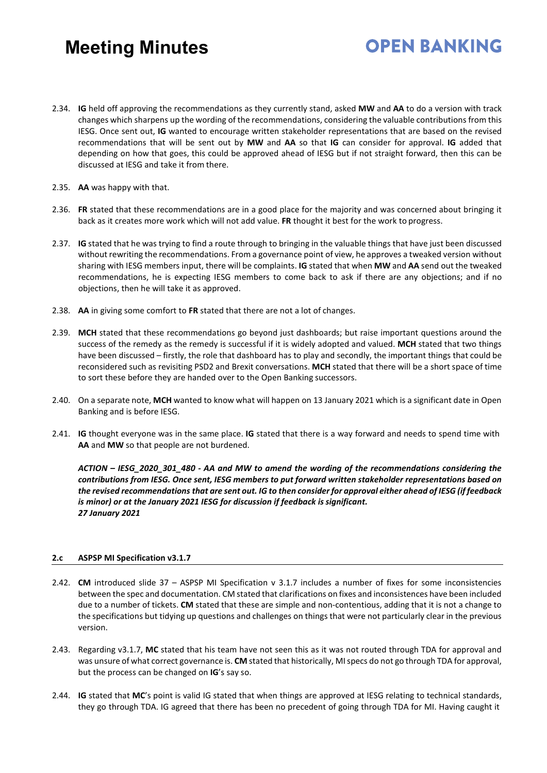# **OPEN BANKING**

- 2.34. **IG** held off approving the recommendations as they currently stand, asked **MW** and **AA** to do a version with track changes which sharpens up the wording of the recommendations, considering the valuable contributions from this IESG. Once sent out, **IG** wanted to encourage written stakeholder representations that are based on the revised recommendations that will be sent out by **MW** and **AA** so that **IG** can consider for approval. **IG** added that depending on how that goes, this could be approved ahead of IESG but if not straight forward, then this can be discussed at IESG and take it from there.
- 2.35. **AA** was happy with that.
- 2.36. **FR** stated that these recommendations are in a good place for the majority and was concerned about bringing it back as it creates more work which will not add value. **FR** thought it best for the work to progress.
- 2.37. **IG** stated that he was trying to find a route through to bringing in the valuable things that have just been discussed without rewriting the recommendations. From a governance point of view, he approves a tweaked version without sharing with IESG members input, there will be complaints. **IG** stated that when **MW** and **AA** send out the tweaked recommendations, he is expecting IESG members to come back to ask if there are any objections; and if no objections, then he will take it as approved.
- 2.38. **AA** in giving some comfort to **FR** stated that there are not a lot of changes.
- 2.39. **MCH** stated that these recommendations go beyond just dashboards; but raise important questions around the success of the remedy as the remedy is successful if it is widely adopted and valued. **MCH** stated that two things have been discussed – firstly, the role that dashboard has to play and secondly, the important things that could be reconsidered such as revisiting PSD2 and Brexit conversations. **MCH** stated that there will be a short space of time to sort these before they are handed over to the Open Banking successors.
- 2.40. On a separate note, **MCH** wanted to know what will happen on 13 January 2021 which is a significant date in Open Banking and is before IESG.
- 2.41. **IG** thought everyone was in the same place. **IG** stated that there is a way forward and needs to spend time with **AA** and **MW** so that people are not burdened.

*ACTION – IESG\_2020\_301\_480 - AA and MW to amend the wording of the recommendations considering the contributions from IESG. Once sent, IESG members to put forward written stakeholder representations based on*  the revised recommendations that are sent out. IG to then consider for approval either ahead of IESG (if feedback *is minor) or at the January 2021 IESG for discussion if feedback is significant. 27 January 2021*

#### **2.c ASPSP MI Specification v3.1.7**

- 2.42. **CM** introduced slide 37 ASPSP MI Specification v 3.1.7 includes a number of fixes for some inconsistencies between the spec and documentation. CM stated that clarifications on fixes and inconsistences have been included due to a number of tickets. **CM** stated that these are simple and non-contentious, adding that it is not a change to the specifications but tidying up questions and challenges on things that were not particularly clear in the previous version.
- 2.43. Regarding v3.1.7, **MC** stated that his team have not seen this as it was not routed through TDA for approval and was unsure of what correct governance is. **CM** stated that historically, MIspecs do not go through TDA for approval, but the process can be changed on **IG**'s say so.
- 2.44. **IG** stated that **MC**'s point is valid IG stated that when things are approved at IESG relating to technical standards, they go through TDA. IG agreed that there has been no precedent of going through TDA for MI. Having caught it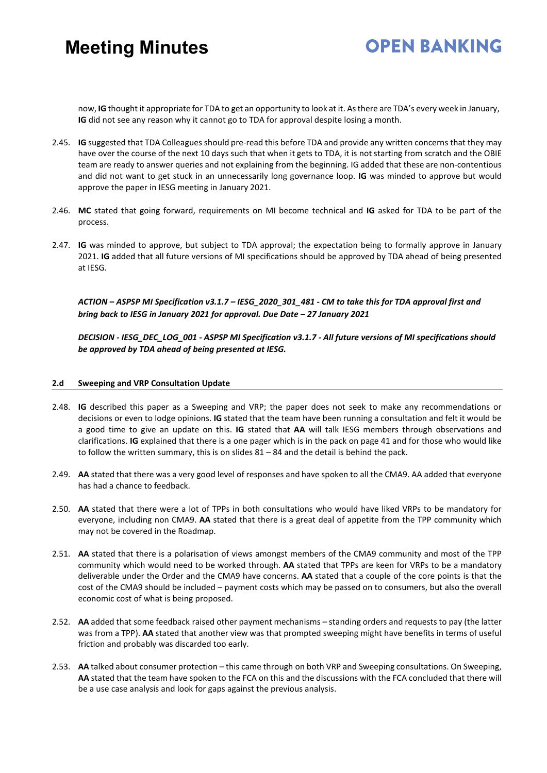## **OPEN BANKING**

now, **IG** thought it appropriate for TDA to get an opportunity to look at it. Asthere are TDA's every week in January, **IG** did not see any reason why it cannot go to TDA for approval despite losing a month.

- 2.45. **IG** suggested that TDA Colleagues should pre-read this before TDA and provide any written concerns that they may have over the course of the next 10 days such that when it gets to TDA, it is not starting from scratch and the OBIE team are ready to answer queries and not explaining from the beginning. IG added that these are non-contentious and did not want to get stuck in an unnecessarily long governance loop. **IG** was minded to approve but would approve the paper in IESG meeting in January 2021.
- 2.46. **MC** stated that going forward, requirements on MI become technical and **IG** asked for TDA to be part of the process.
- 2.47. **IG** was minded to approve, but subject to TDA approval; the expectation being to formally approve in January 2021. **IG** added that all future versions of MI specifications should be approved by TDA ahead of being presented at IESG.

*ACTION – ASPSP MI Specification v3.1.7 – IESG\_2020\_301\_481 - CM to take this for TDA approval first and bring back to IESG in January 2021 for approval. Due Date – 27 January 2021*

*DECISION - IESG\_DEC\_LOG\_001 - ASPSP MI Specification v3.1.7 - All future versions of MI specifications should be approved by TDA ahead of being presented at IESG.*

#### **2.d Sweeping and VRP Consultation Update**

- 2.48. **IG** described this paper as a Sweeping and VRP; the paper does not seek to make any recommendations or decisions or even to lodge opinions. **IG** stated that the team have been running a consultation and felt it would be a good time to give an update on this. **IG** stated that **AA** will talk IESG members through observations and clarifications. **IG** explained that there is a one pager which is in the pack on page 41 and for those who would like to follow the written summary, this is on slides 81 – 84 and the detail is behind the pack.
- 2.49. **AA** stated that there was a very good level of responses and have spoken to all the CMA9. AA added that everyone has had a chance to feedback.
- 2.50. **AA** stated that there were a lot of TPPs in both consultations who would have liked VRPs to be mandatory for everyone, including non CMA9. **AA** stated that there is a great deal of appetite from the TPP community which may not be covered in the Roadmap.
- 2.51. **AA** stated that there is a polarisation of views amongst members of the CMA9 community and most of the TPP community which would need to be worked through. **AA** stated that TPPs are keen for VRPs to be a mandatory deliverable under the Order and the CMA9 have concerns. **AA** stated that a couple of the core points is that the cost of the CMA9 should be included – payment costs which may be passed on to consumers, but also the overall economic cost of what is being proposed.
- 2.52. **AA** added that some feedback raised other payment mechanisms standing orders and requests to pay (the latter was from a TPP). **AA** stated that another view was that prompted sweeping might have benefits in terms of useful friction and probably was discarded too early.
- 2.53. **AA** talked about consumer protection this came through on both VRP and Sweeping consultations. On Sweeping, **AA** stated that the team have spoken to the FCA on this and the discussions with the FCA concluded that there will be a use case analysis and look for gaps against the previous analysis.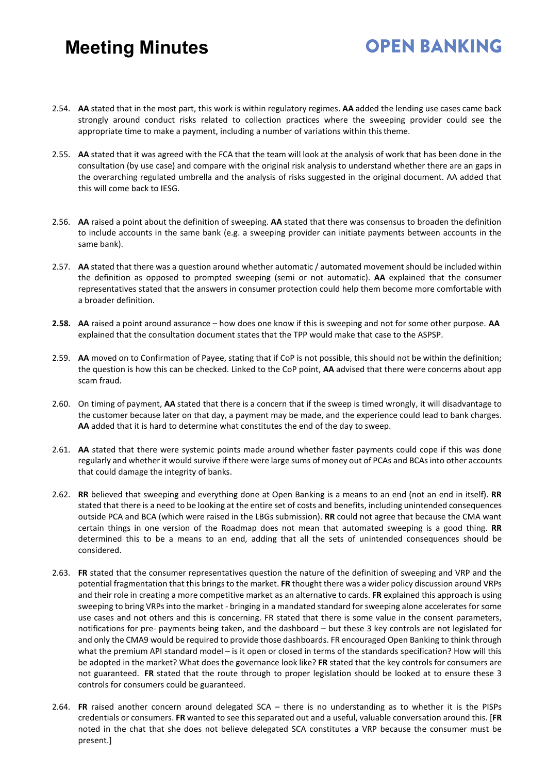- 2.54. **AA** stated that in the most part, this work is within regulatory regimes. **AA** added the lending use cases came back strongly around conduct risks related to collection practices where the sweeping provider could see the appropriate time to make a payment, including a number of variations within this theme.
- 2.55. **AA** stated that it was agreed with the FCA that the team will look at the analysis of work that has been done in the consultation (by use case) and compare with the original risk analysis to understand whether there are an gaps in the overarching regulated umbrella and the analysis of risks suggested in the original document. AA added that this will come back to IESG.
- 2.56. **AA** raised a point about the definition of sweeping. **AA** stated that there was consensus to broaden the definition to include accounts in the same bank (e.g. a sweeping provider can initiate payments between accounts in the same bank).
- 2.57. **AA** stated that there was a question around whether automatic / automated movement should be included within the definition as opposed to prompted sweeping (semi or not automatic). **AA** explained that the consumer representatives stated that the answers in consumer protection could help them become more comfortable with a broader definition.
- **2.58. AA** raised a point around assurance how does one know if this is sweeping and not for some other purpose. **AA** explained that the consultation document states that the TPP would make that case to the ASPSP.
- 2.59. **AA** moved on to Confirmation of Payee, stating that if CoP is not possible, this should not be within the definition; the question is how this can be checked. Linked to the CoP point, **AA** advised that there were concerns about app scam fraud.
- 2.60. On timing of payment, **AA** stated that there is a concern that if the sweep is timed wrongly, it will disadvantage to the customer because later on that day, a payment may be made, and the experience could lead to bank charges. **AA** added that it is hard to determine what constitutes the end of the day to sweep.
- 2.61. **AA** stated that there were systemic points made around whether faster payments could cope if this was done regularly and whether it would survive if there were large sums of money out of PCAs and BCAs into other accounts that could damage the integrity of banks.
- 2.62. **RR** believed that sweeping and everything done at Open Banking is a means to an end (not an end in itself). **RR**  stated that there is a need to be looking at the entire set of costs and benefits, including unintended consequences outside PCA and BCA (which were raised in the LBGs submission). **RR** could not agree that because the CMA want certain things in one version of the Roadmap does not mean that automated sweeping is a good thing. **RR**  determined this to be a means to an end, adding that all the sets of unintended consequences should be considered.
- 2.63. **FR** stated that the consumer representatives question the nature of the definition of sweeping and VRP and the potential fragmentation that this brings to the market. **FR** thought there was a wider policy discussion around VRPs and their role in creating a more competitive market as an alternative to cards. **FR** explained this approach is using sweeping to bring VRPs into the market - bringing in a mandated standard for sweeping alone accelerates for some use cases and not others and this is concerning. FR stated that there is some value in the consent parameters, notifications for pre- payments being taken, and the dashboard – but these 3 key controls are not legislated for and only the CMA9 would be required to provide those dashboards. FR encouraged Open Banking to think through what the premium API standard model – is it open or closed in terms of the standards specification? How will this be adopted in the market? What does the governance look like? **FR** stated that the key controls for consumers are not guaranteed. **FR** stated that the route through to proper legislation should be looked at to ensure these 3 controls for consumers could be guaranteed.
- 2.64. **FR** raised another concern around delegated SCA there is no understanding as to whether it is the PISPs credentials or consumers. **FR** wanted to see this separated out and a useful, valuable conversation around this. [**FR** noted in the chat that she does not believe delegated SCA constitutes a VRP because the consumer must be present.]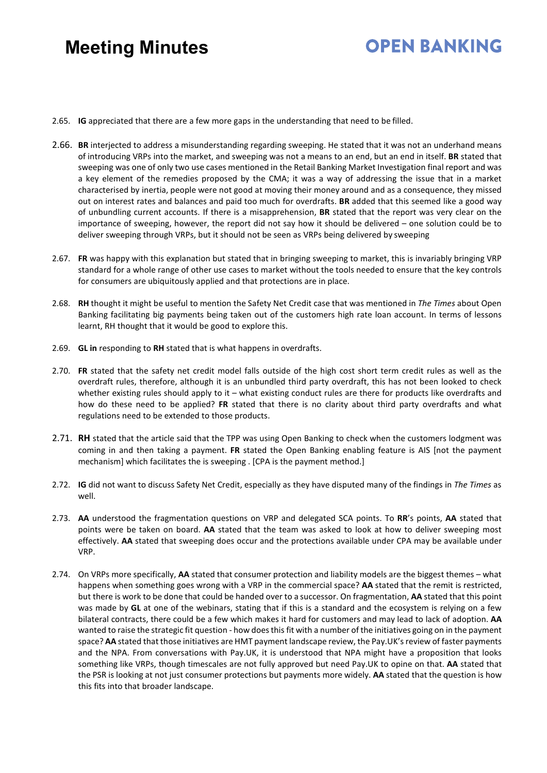- 2.65. **IG** appreciated that there are a few more gaps in the understanding that need to be filled.
- 2.66. **BR** interjected to address a misunderstanding regarding sweeping. He stated that it was not an underhand means of introducing VRPs into the market, and sweeping was not a means to an end, but an end in itself. **BR** stated that sweeping was one of only two use cases mentioned in the Retail Banking Market Investigation final report and was a key element of the remedies proposed by the CMA; it was a way of addressing the issue that in a market characterised by inertia, people were not good at moving their money around and as a consequence, they missed out on interest rates and balances and paid too much for overdrafts. **BR** added that this seemed like a good way of unbundling current accounts. If there is a misapprehension, **BR** stated that the report was very clear on the importance of sweeping, however, the report did not say how it should be delivered – one solution could be to deliver sweeping through VRPs, but it should not be seen as VRPs being delivered by sweeping
- 2.67. **FR** was happy with this explanation but stated that in bringing sweeping to market, this is invariably bringing VRP standard for a whole range of other use cases to market without the tools needed to ensure that the key controls for consumers are ubiquitously applied and that protections are in place.
- 2.68. **RH** thought it might be useful to mention the Safety Net Credit case that was mentioned in *The Times* about Open Banking facilitating big payments being taken out of the customers high rate loan account. In terms of lessons learnt, RH thought that it would be good to explore this.
- 2.69. **GL in** responding to **RH** stated that is what happens in overdrafts.
- 2.70. **FR** stated that the safety net credit model falls outside of the high cost short term credit rules as well as the overdraft rules, therefore, although it is an unbundled third party overdraft, this has not been looked to check whether existing rules should apply to it – what existing conduct rules are there for products like overdrafts and how do these need to be applied? **FR** stated that there is no clarity about third party overdrafts and what regulations need to be extended to those products.
- 2.71. **RH** stated that the article said that the TPP was using Open Banking to check when the customers lodgment was coming in and then taking a payment. **FR** stated the Open Banking enabling feature is AIS [not the payment mechanism] which facilitates the is sweeping . [CPA is the payment method.]
- 2.72. **IG** did not want to discuss Safety Net Credit, especially as they have disputed many of the findings in *The Times* as well.
- 2.73. **AA** understood the fragmentation questions on VRP and delegated SCA points. To **RR**'s points, **AA** stated that points were be taken on board. **AA** stated that the team was asked to look at how to deliver sweeping most effectively. **AA** stated that sweeping does occur and the protections available under CPA may be available under VRP.
- 2.74. On VRPs more specifically, **AA** stated that consumer protection and liability models are the biggest themes what happens when something goes wrong with a VRP in the commercial space? **AA** stated that the remit is restricted, but there is work to be done that could be handed over to a successor. On fragmentation, **AA** stated that this point was made by **GL** at one of the webinars, stating that if this is a standard and the ecosystem is relying on a few bilateral contracts, there could be a few which makes it hard for customers and may lead to lack of adoption. **AA**  wanted to raise the strategic fit question - how does this fit with a number of the initiatives going on in the payment space? AA stated that those initiatives are HMT payment landscape review, the Pay.UK's review of faster payments and the NPA. From conversations with Pay.UK, it is understood that NPA might have a proposition that looks something like VRPs, though timescales are not fully approved but need Pay.UK to opine on that. **AA** stated that the PSR is looking at not just consumer protections but payments more widely. **AA** stated that the question is how this fits into that broader landscape.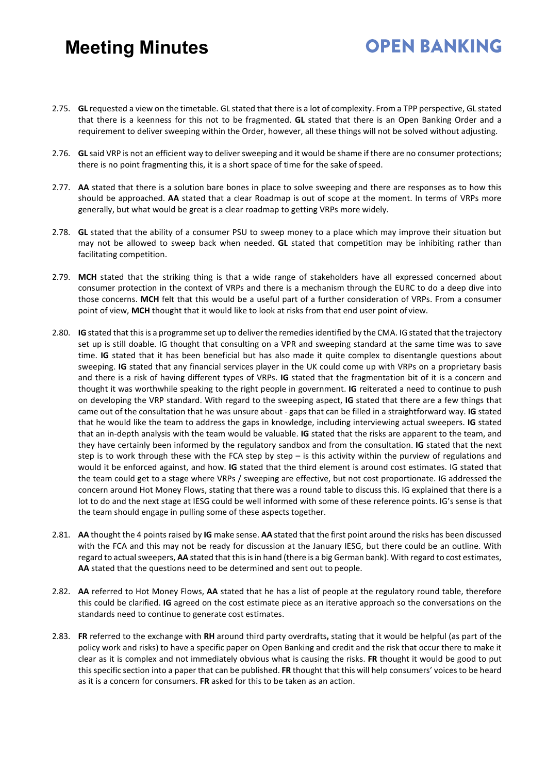2.75. **GL** requested a view on the timetable. GL stated that there is a lot of complexity. From a TPP perspective, GL stated that there is a keenness for this not to be fragmented. **GL** stated that there is an Open Banking Order and a requirement to deliver sweeping within the Order, however, all these things will not be solved without adjusting.

- 2.76. **GL** said VRP is not an efficient way to deliver sweeping and it would be shame if there are no consumer protections; there is no point fragmenting this, it is a short space of time for the sake ofspeed.
- 2.77. **AA** stated that there is a solution bare bones in place to solve sweeping and there are responses as to how this should be approached. **AA** stated that a clear Roadmap is out of scope at the moment. In terms of VRPs more generally, but what would be great is a clear roadmap to getting VRPs more widely.
- 2.78. **GL** stated that the ability of a consumer PSU to sweep money to a place which may improve their situation but may not be allowed to sweep back when needed. **GL** stated that competition may be inhibiting rather than facilitating competition.
- 2.79. **MCH** stated that the striking thing is that a wide range of stakeholders have all expressed concerned about consumer protection in the context of VRPs and there is a mechanism through the EURC to do a deep dive into those concerns. **MCH** felt that this would be a useful part of a further consideration of VRPs. From a consumer point of view, **MCH** thought that it would like to look at risks from that end user point of view.
- 2.80. **IG** stated that thisis a programme set up to deliver the remediesidentified by the CMA. IG stated that the trajectory set up is still doable. IG thought that consulting on a VPR and sweeping standard at the same time was to save time. **IG** stated that it has been beneficial but has also made it quite complex to disentangle questions about sweeping. **IG** stated that any financial services player in the UK could come up with VRPs on a proprietary basis and there is a risk of having different types of VRPs. **IG** stated that the fragmentation bit of it is a concern and thought it was worthwhile speaking to the right people in government. **IG** reiterated a need to continue to push on developing the VRP standard. With regard to the sweeping aspect, **IG** stated that there are a few things that came out of the consultation that he was unsure about - gaps that can be filled in a straightforward way. **IG** stated that he would like the team to address the gaps in knowledge, including interviewing actual sweepers. **IG** stated that an in-depth analysis with the team would be valuable. **IG** stated that the risks are apparent to the team, and they have certainly been informed by the regulatory sandbox and from the consultation. **IG** stated that the next step is to work through these with the FCA step by step – is this activity within the purview of regulations and would it be enforced against, and how. **IG** stated that the third element is around cost estimates. IG stated that the team could get to a stage where VRPs / sweeping are effective, but not cost proportionate. IG addressed the concern around Hot Money Flows, stating that there was a round table to discuss this. IG explained that there is a lot to do and the next stage at IESG could be well informed with some of these reference points. IG's sense is that the team should engage in pulling some of these aspects together.
- 2.81. **AA** thought the 4 points raised by **IG** make sense. **AA** stated that the first point around the risks has been discussed with the FCA and this may not be ready for discussion at the January IESG, but there could be an outline. With regard to actual sweepers, **AA** stated that this is in hand (there is a big German bank). With regard to cost estimates, **AA** stated that the questions need to be determined and sent out to people.
- 2.82. **AA** referred to Hot Money Flows, **AA** stated that he has a list of people at the regulatory round table, therefore this could be clarified. **IG** agreed on the cost estimate piece as an iterative approach so the conversations on the standards need to continue to generate cost estimates.
- 2.83. **FR** referred to the exchange with **RH** around third party overdrafts**,** stating that it would be helpful (as part of the policy work and risks) to have a specific paper on Open Banking and credit and the risk that occur there to make it clear as it is complex and not immediately obvious what is causing the risks. **FR** thought it would be good to put this specific section into a paper that can be published. **FR** thought that this will help consumers' voices to be heard as it is a concern for consumers. **FR** asked for this to be taken as an action.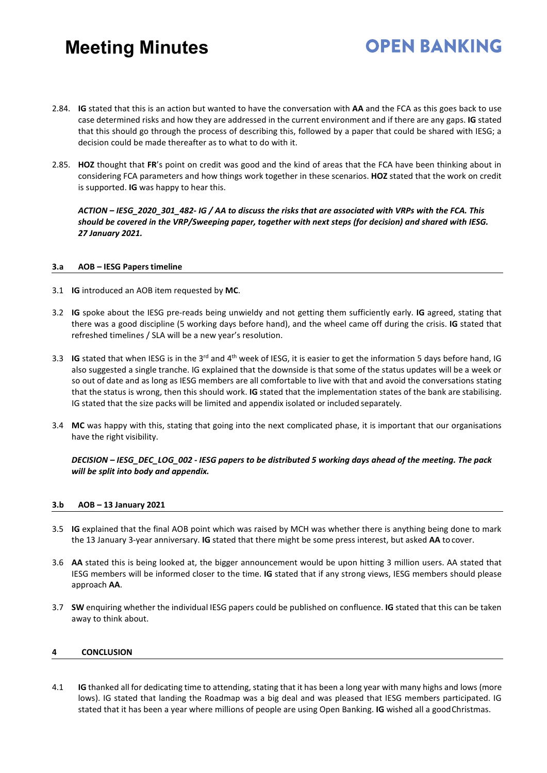2.84. **IG** stated that this is an action but wanted to have the conversation with **AA** and the FCA as this goes back to use case determined risks and how they are addressed in the current environment and if there are any gaps. **IG** stated that this should go through the process of describing this, followed by a paper that could be shared with IESG; a decision could be made thereafter as to what to do with it.

**OPEN BANKING** 

2.85. **HOZ** thought that **FR**'s point on credit was good and the kind of areas that the FCA have been thinking about in considering FCA parameters and how things work together in these scenarios. **HOZ** stated that the work on credit is supported. **IG** was happy to hear this.

*ACTION – IESG\_2020\_301\_482- IG / AA to discuss the risks that are associated with VRPs with the FCA. This should be covered in the VRP/Sweeping paper, together with next steps (for decision) and shared with IESG. 27 January 2021.*

#### **3.a AOB – IESG Papers timeline**

- 3.1 **IG** introduced an AOB item requested by **MC**.
- 3.2 **IG** spoke about the IESG pre-reads being unwieldy and not getting them sufficiently early. **IG** agreed, stating that there was a good discipline (5 working days before hand), and the wheel came off during the crisis. **IG** stated that refreshed timelines / SLA will be a new year's resolution.
- 3.3 **IG** stated that when IESG is in the 3rd and 4th week of IESG, it is easier to get the information 5 days before hand, IG also suggested a single tranche. IG explained that the downside is that some of the status updates will be a week or so out of date and as long as IESG members are all comfortable to live with that and avoid the conversations stating that the status is wrong, then this should work. **IG** stated that the implementation states of the bank are stabilising. IG stated that the size packs will be limited and appendix isolated or included separately.
- 3.4 **MC** was happy with this, stating that going into the next complicated phase, it is important that our organisations have the right visibility.

#### *DECISION – IESG\_DEC\_LOG\_002 - IESG papers to be distributed 5 working days ahead of the meeting. The pack will be split into body and appendix.*

#### **3.b AOB – 13 January 2021**

- 3.5 **IG** explained that the final AOB point which was raised by MCH was whether there is anything being done to mark the 13 January 3-year anniversary. **IG** stated that there might be some press interest, but asked **AA** to cover.
- 3.6 **AA** stated this is being looked at, the bigger announcement would be upon hitting 3 million users. AA stated that IESG members will be informed closer to the time. **IG** stated that if any strong views, IESG members should please approach **AA**.
- 3.7 **SW** enquiring whether the individual IESG papers could be published on confluence. **IG** stated that this can be taken away to think about.

#### **4 CONCLUSION**

4.1 **IG** thanked all for dedicating time to attending, stating that it has been a long year with many highs and lows (more lows). IG stated that landing the Roadmap was a big deal and was pleased that IESG members participated. IG stated that it has been a year where millions of people are using Open Banking. **IG** wished all a goodChristmas.